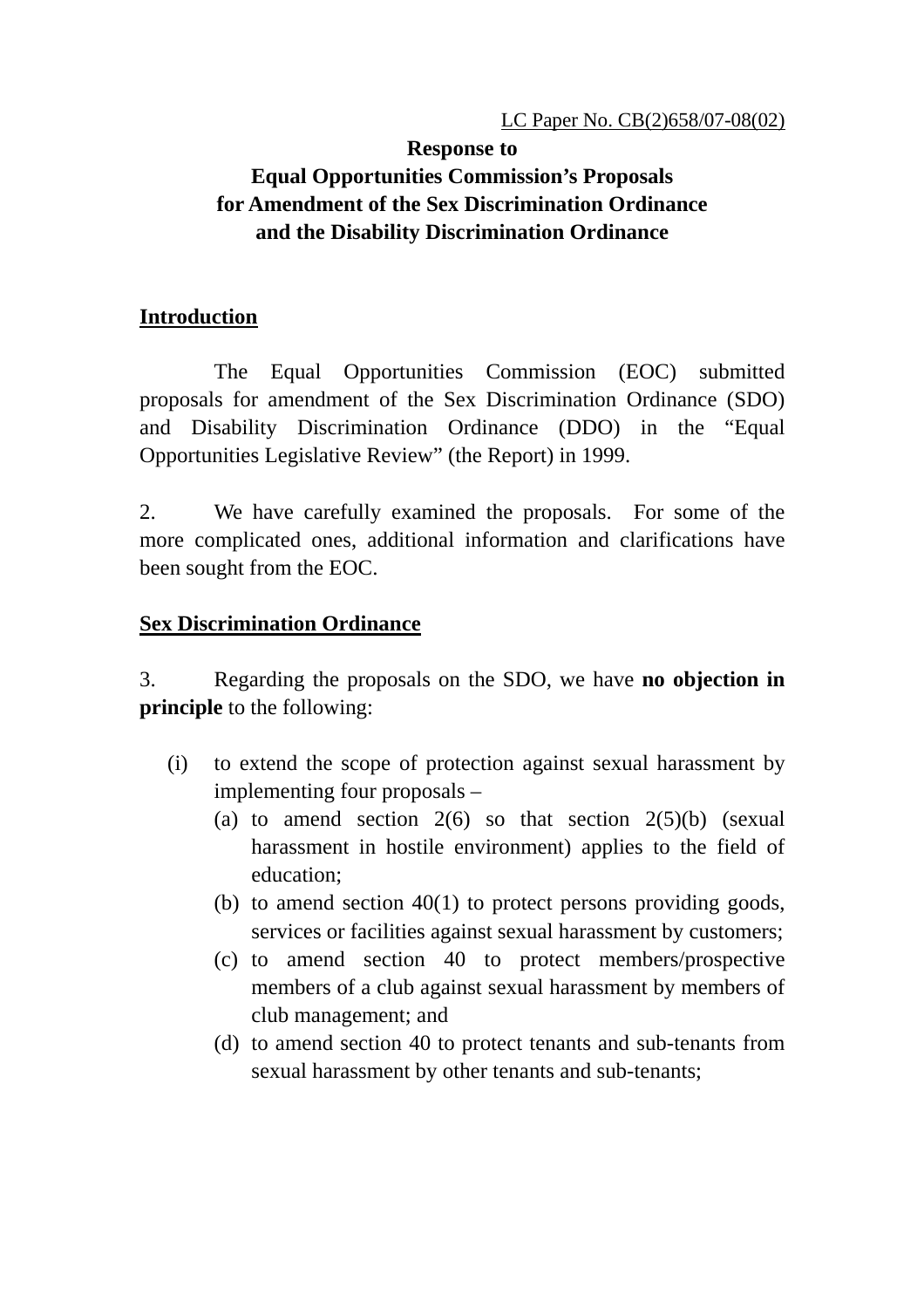### **Response to Equal Opportunities Commission's Proposals for Amendment of the Sex Discrimination Ordinance and the Disability Discrimination Ordinance**

# **Introduction**

The Equal Opportunities Commission (EOC) submitted proposals for amendment of the Sex Discrimination Ordinance (SDO) and Disability Discrimination Ordinance (DDO) in the "Equal Opportunities Legislative Review" (the Report) in 1999.

2. We have carefully examined the proposals. For some of the more complicated ones, additional information and clarifications have been sought from the EOC.

## **Sex Discrimination Ordinance**

3. Regarding the proposals on the SDO, we have **no objection in principle** to the following:

- (i) to extend the scope of protection against sexual harassment by implementing four proposals –
	- (a) to amend section  $2(6)$  so that section  $2(5)(b)$  (sexual harassment in hostile environment) applies to the field of education;
	- (b) to amend section 40(1) to protect persons providing goods, services or facilities against sexual harassment by customers;
	- (c) to amend section 40 to protect members/prospective members of a club against sexual harassment by members of club management; and
	- (d) to amend section 40 to protect tenants and sub-tenants from sexual harassment by other tenants and sub-tenants;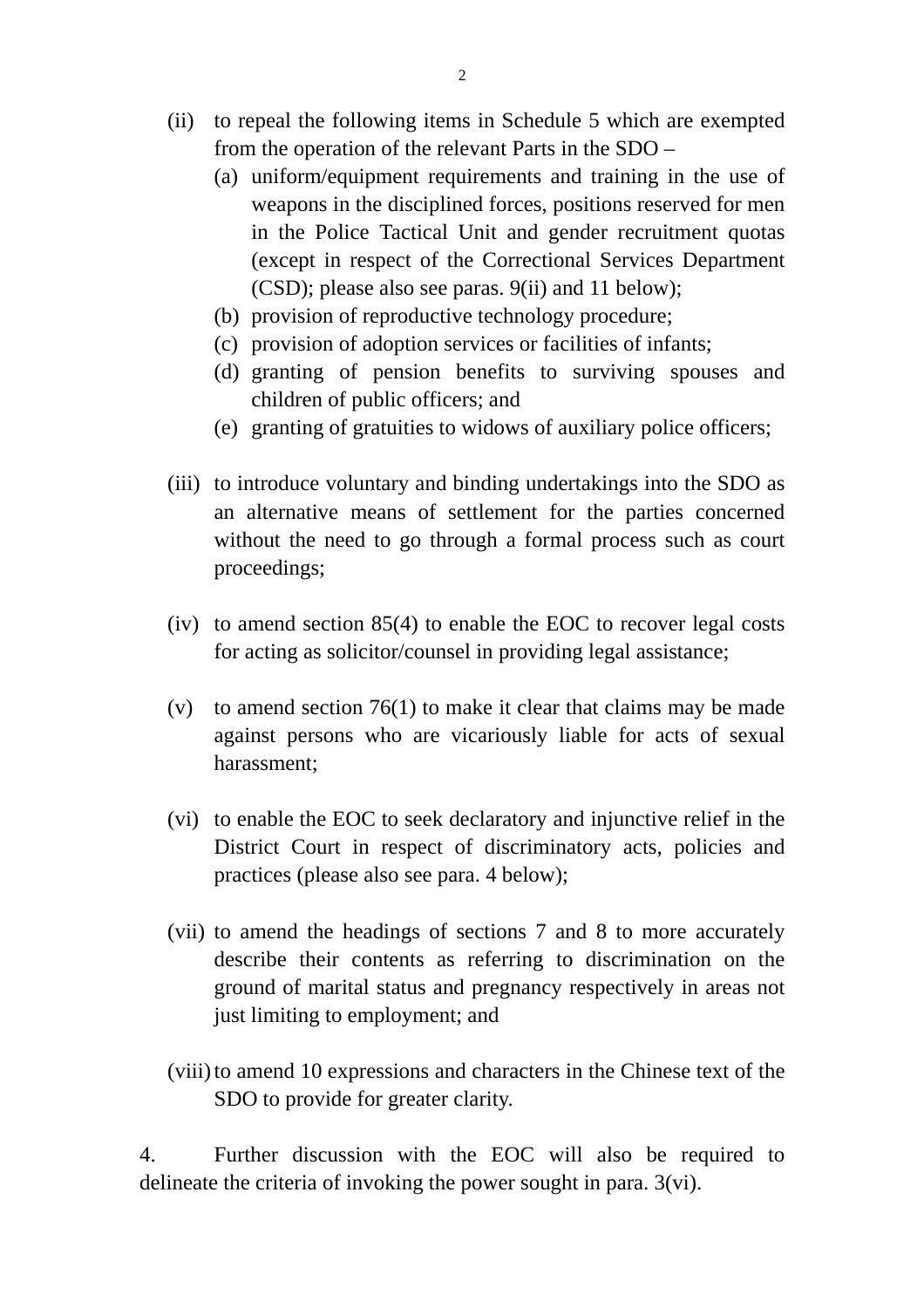- (ii) to repeal the following items in Schedule 5 which are exempted from the operation of the relevant Parts in the SDO –
	- (a) uniform/equipment requirements and training in the use of weapons in the disciplined forces, positions reserved for men in the Police Tactical Unit and gender recruitment quotas (except in respect of the Correctional Services Department (CSD); please also see paras. 9(ii) and 11 below);
	- (b) provision of reproductive technology procedure;
	- (c) provision of adoption services or facilities of infants;
	- (d) granting of pension benefits to surviving spouses and children of public officers; and
	- (e) granting of gratuities to widows of auxiliary police officers;
- (iii) to introduce voluntary and binding undertakings into the SDO as an alternative means of settlement for the parties concerned without the need to go through a formal process such as court proceedings;
- (iv) to amend section 85(4) to enable the EOC to recover legal costs for acting as solicitor/counsel in providing legal assistance;
- (v) to amend section 76(1) to make it clear that claims may be made against persons who are vicariously liable for acts of sexual harassment;
- (vi) to enable the EOC to seek declaratory and injunctive relief in the District Court in respect of discriminatory acts, policies and practices (please also see para. 4 below);
- (vii) to amend the headings of sections 7 and 8 to more accurately describe their contents as referring to discrimination on the ground of marital status and pregnancy respectively in areas not just limiting to employment; and
- (viii)to amend 10 expressions and characters in the Chinese text of the SDO to provide for greater clarity.

4. Further discussion with the EOC will also be required to delineate the criteria of invoking the power sought in para. 3(vi).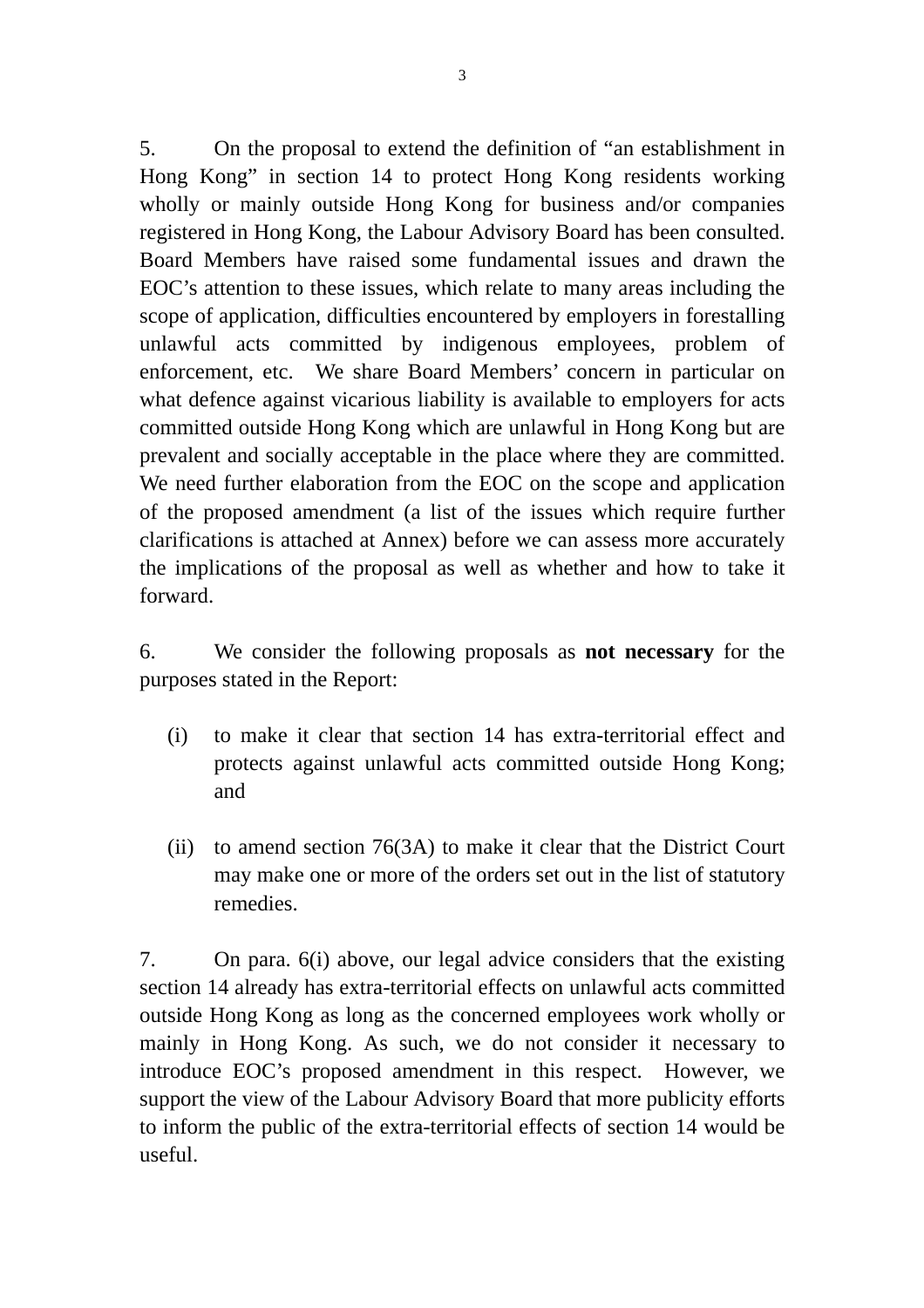5. On the proposal to extend the definition of "an establishment in Hong Kong" in section 14 to protect Hong Kong residents working wholly or mainly outside Hong Kong for business and/or companies registered in Hong Kong, the Labour Advisory Board has been consulted. Board Members have raised some fundamental issues and drawn the EOC's attention to these issues, which relate to many areas including the scope of application, difficulties encountered by employers in forestalling unlawful acts committed by indigenous employees, problem of enforcement, etc. We share Board Members' concern in particular on what defence against vicarious liability is available to employers for acts committed outside Hong Kong which are unlawful in Hong Kong but are prevalent and socially acceptable in the place where they are committed. We need further elaboration from the EOC on the scope and application of the proposed amendment (a list of the issues which require further clarifications is attached at Annex) before we can assess more accurately the implications of the proposal as well as whether and how to take it forward.

6. We consider the following proposals as **not necessary** for the purposes stated in the Report:

- (i) to make it clear that section 14 has extra-territorial effect and protects against unlawful acts committed outside Hong Kong; and
- (ii) to amend section 76(3A) to make it clear that the District Court may make one or more of the orders set out in the list of statutory remedies.

7. On para. 6(i) above, our legal advice considers that the existing section 14 already has extra-territorial effects on unlawful acts committed outside Hong Kong as long as the concerned employees work wholly or mainly in Hong Kong. As such, we do not consider it necessary to introduce EOC's proposed amendment in this respect. However, we support the view of the Labour Advisory Board that more publicity efforts to inform the public of the extra-territorial effects of section 14 would be useful.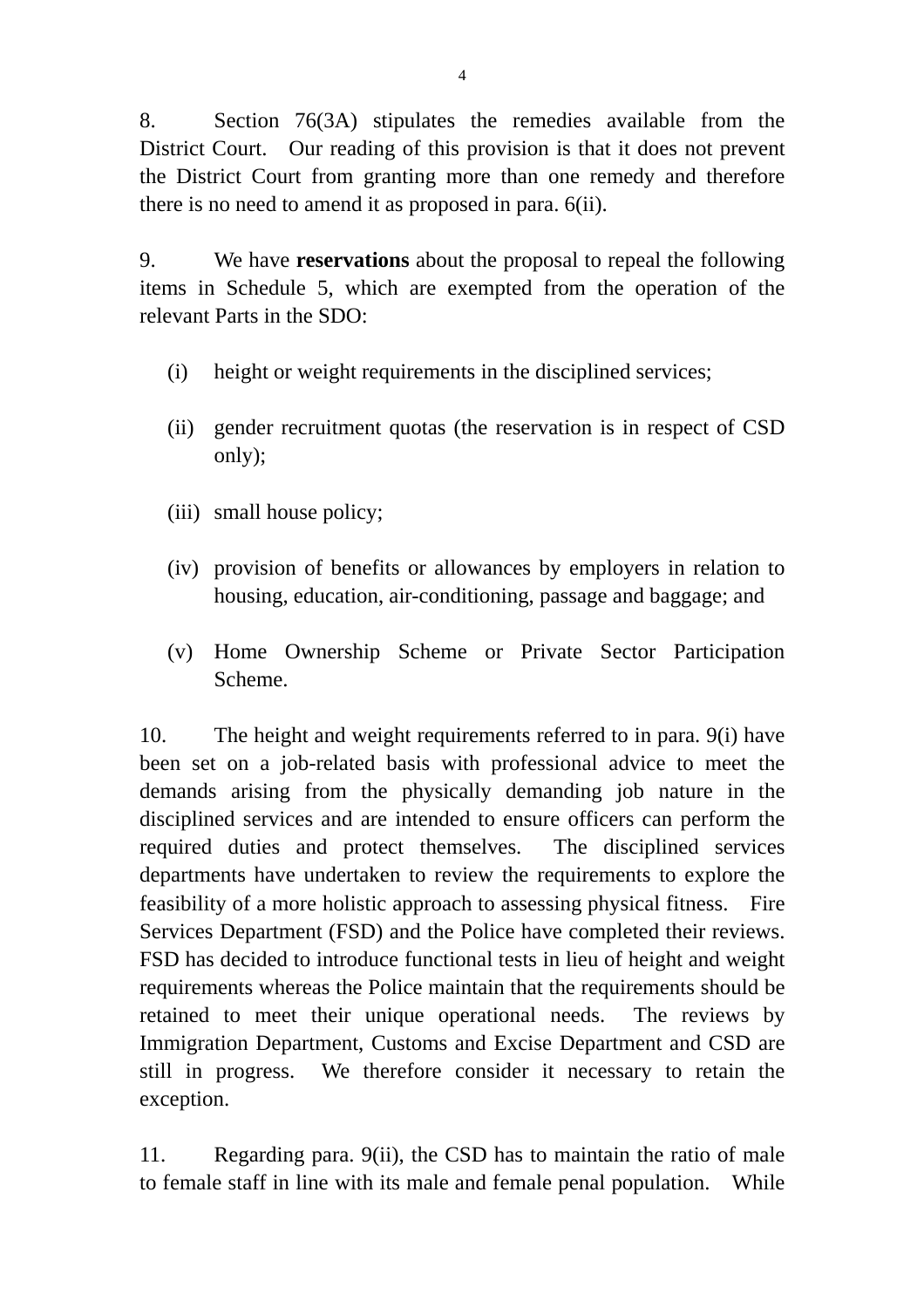8. Section 76(3A) stipulates the remedies available from the District Court. Our reading of this provision is that it does not prevent the District Court from granting more than one remedy and therefore there is no need to amend it as proposed in para. 6(ii).

9. We have **reservations** about the proposal to repeal the following items in Schedule 5, which are exempted from the operation of the relevant Parts in the SDO:

- (i) height or weight requirements in the disciplined services;
- (ii) gender recruitment quotas (the reservation is in respect of CSD only);
- (iii) small house policy;
- (iv) provision of benefits or allowances by employers in relation to housing, education, air-conditioning, passage and baggage; and
- (v) Home Ownership Scheme or Private Sector Participation Scheme.

10. The height and weight requirements referred to in para. 9(i) have been set on a job-related basis with professional advice to meet the demands arising from the physically demanding job nature in the disciplined services and are intended to ensure officers can perform the required duties and protect themselves. The disciplined services departments have undertaken to review the requirements to explore the feasibility of a more holistic approach to assessing physical fitness. Fire Services Department (FSD) and the Police have completed their reviews. FSD has decided to introduce functional tests in lieu of height and weight requirements whereas the Police maintain that the requirements should be retained to meet their unique operational needs. The reviews by Immigration Department, Customs and Excise Department and CSD are still in progress. We therefore consider it necessary to retain the exception.

11. Regarding para. 9(ii), the CSD has to maintain the ratio of male to female staff in line with its male and female penal population. While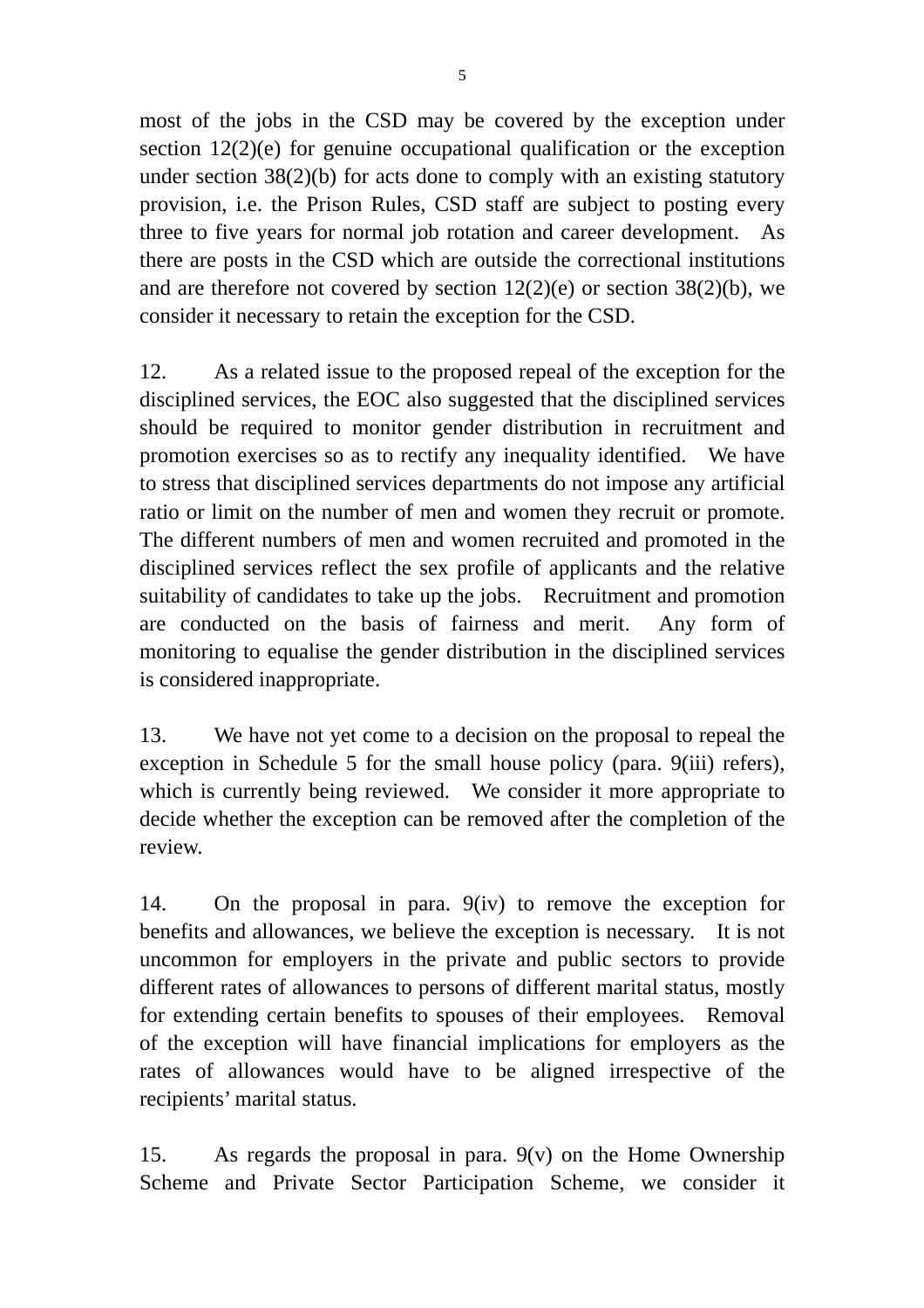most of the jobs in the CSD may be covered by the exception under section 12(2)(e) for genuine occupational qualification or the exception under section 38(2)(b) for acts done to comply with an existing statutory provision, i.e. the Prison Rules, CSD staff are subject to posting every three to five years for normal job rotation and career development. As there are posts in the CSD which are outside the correctional institutions and are therefore not covered by section  $12(2)(e)$  or section  $38(2)(b)$ , we consider it necessary to retain the exception for the CSD.

12. As a related issue to the proposed repeal of the exception for the disciplined services, the EOC also suggested that the disciplined services should be required to monitor gender distribution in recruitment and promotion exercises so as to rectify any inequality identified. We have to stress that disciplined services departments do not impose any artificial ratio or limit on the number of men and women they recruit or promote. The different numbers of men and women recruited and promoted in the disciplined services reflect the sex profile of applicants and the relative suitability of candidates to take up the jobs. Recruitment and promotion are conducted on the basis of fairness and merit. Any form of monitoring to equalise the gender distribution in the disciplined services is considered inappropriate.

13. We have not yet come to a decision on the proposal to repeal the exception in Schedule 5 for the small house policy (para. 9(iii) refers), which is currently being reviewed. We consider it more appropriate to decide whether the exception can be removed after the completion of the review.

14. On the proposal in para. 9(iv) to remove the exception for benefits and allowances, we believe the exception is necessary. It is not uncommon for employers in the private and public sectors to provide different rates of allowances to persons of different marital status, mostly for extending certain benefits to spouses of their employees. Removal of the exception will have financial implications for employers as the rates of allowances would have to be aligned irrespective of the recipients' marital status.

15. As regards the proposal in para. 9(v) on the Home Ownership Scheme and Private Sector Participation Scheme, we consider it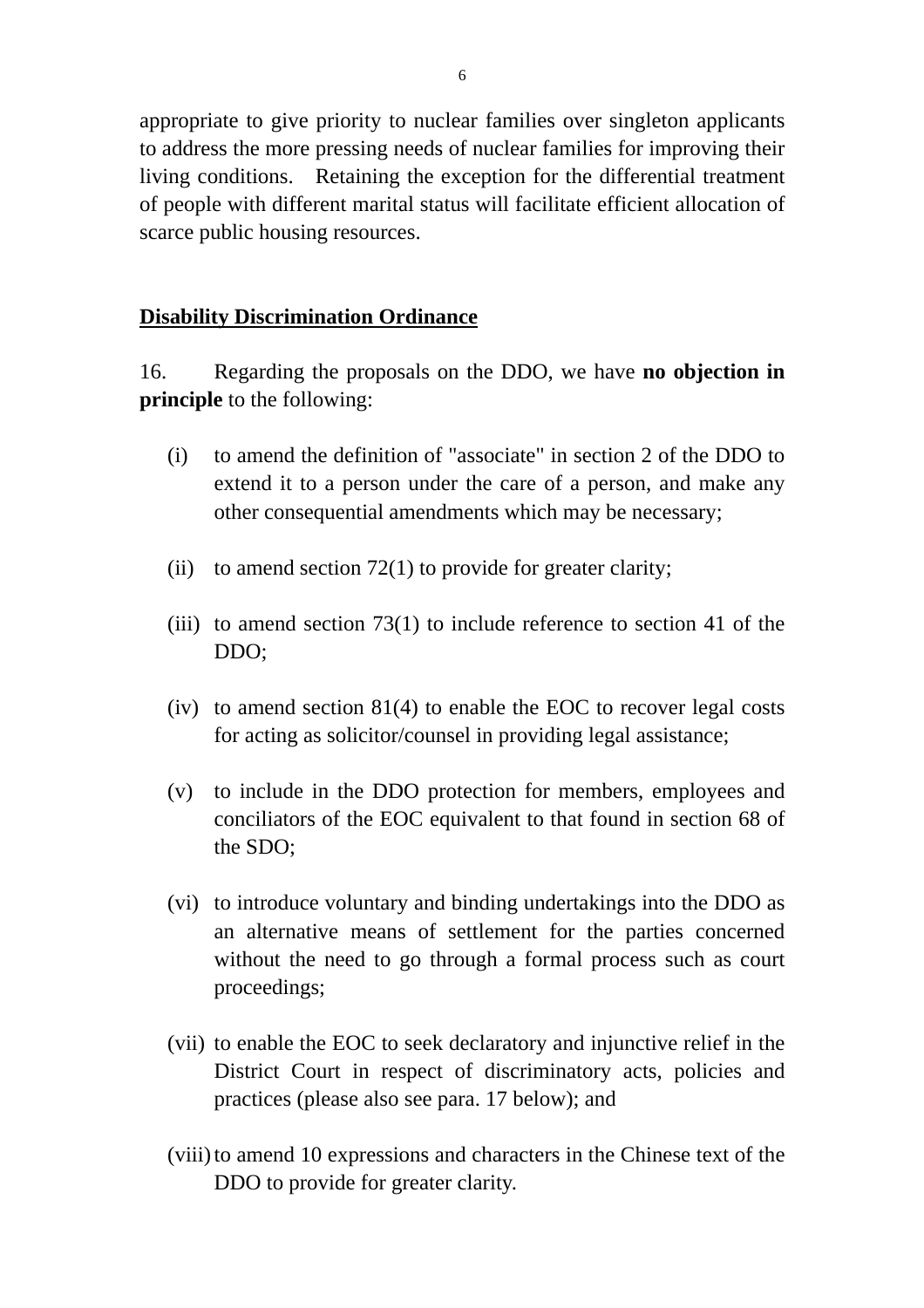appropriate to give priority to nuclear families over singleton applicants to address the more pressing needs of nuclear families for improving their living conditions. Retaining the exception for the differential treatment of people with different marital status will facilitate efficient allocation of scarce public housing resources.

#### **Disability Discrimination Ordinance**

16. Regarding the proposals on the DDO, we have **no objection in principle** to the following:

- (i) to amend the definition of "associate" in section 2 of the DDO to extend it to a person under the care of a person, and make any other consequential amendments which may be necessary;
- (ii) to amend section  $72(1)$  to provide for greater clarity;
- (iii) to amend section  $73(1)$  to include reference to section 41 of the DDO;
- (iv) to amend section 81(4) to enable the EOC to recover legal costs for acting as solicitor/counsel in providing legal assistance;
- (v) to include in the DDO protection for members, employees and conciliators of the EOC equivalent to that found in section 68 of the SDO;
- (vi) to introduce voluntary and binding undertakings into the DDO as an alternative means of settlement for the parties concerned without the need to go through a formal process such as court proceedings;
- (vii) to enable the EOC to seek declaratory and injunctive relief in the District Court in respect of discriminatory acts, policies and practices (please also see para. 17 below); and
- (viii)to amend 10 expressions and characters in the Chinese text of the DDO to provide for greater clarity.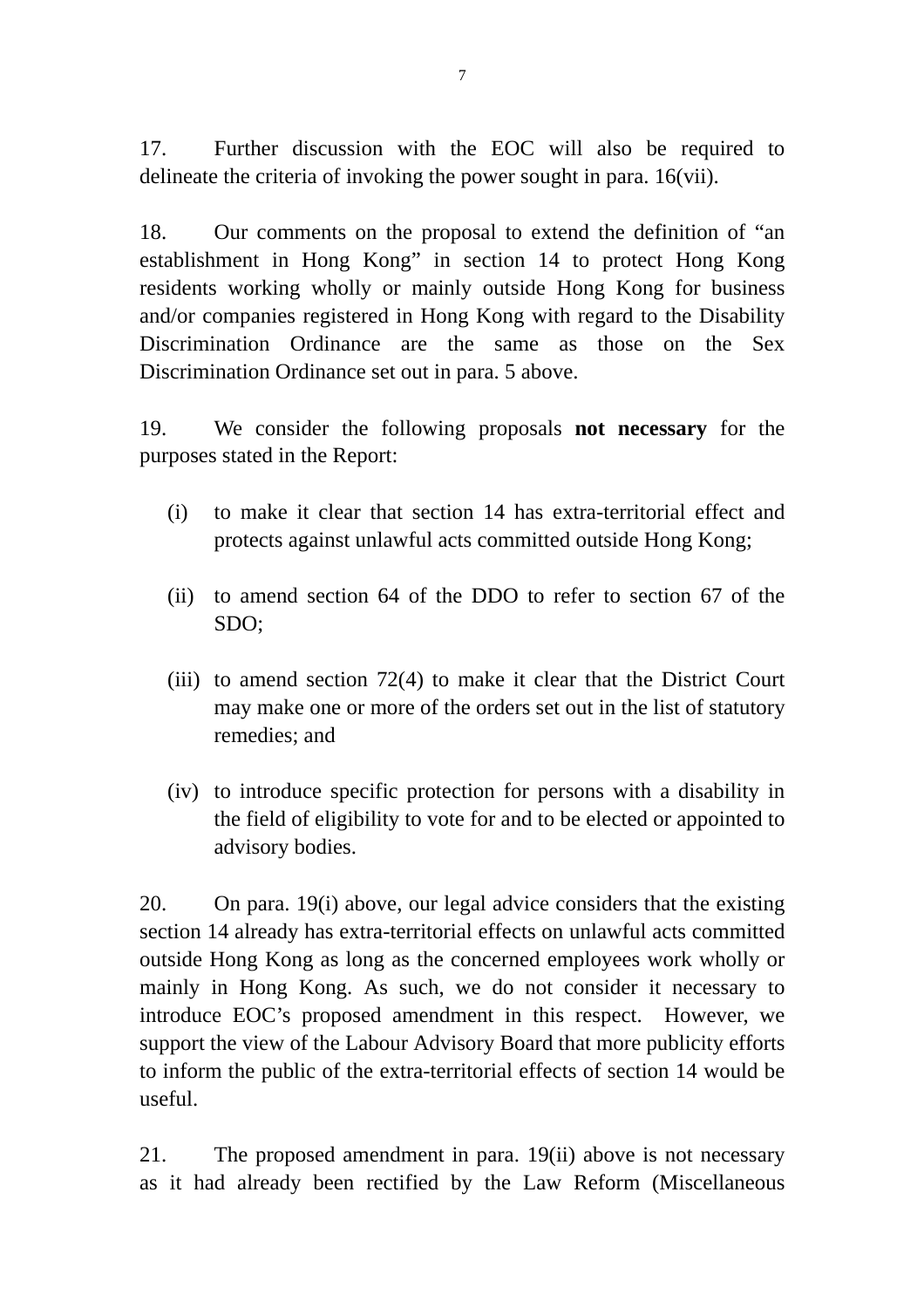17. Further discussion with the EOC will also be required to delineate the criteria of invoking the power sought in para. 16(vii).

18. Our comments on the proposal to extend the definition of "an establishment in Hong Kong" in section 14 to protect Hong Kong residents working wholly or mainly outside Hong Kong for business and/or companies registered in Hong Kong with regard to the Disability Discrimination Ordinance are the same as those on the Sex Discrimination Ordinance set out in para. 5 above.

19. We consider the following proposals **not necessary** for the purposes stated in the Report:

- (i) to make it clear that section 14 has extra-territorial effect and protects against unlawful acts committed outside Hong Kong;
- (ii) to amend section 64 of the DDO to refer to section 67 of the SDO;
- (iii) to amend section 72(4) to make it clear that the District Court may make one or more of the orders set out in the list of statutory remedies; and
- (iv) to introduce specific protection for persons with a disability in the field of eligibility to vote for and to be elected or appointed to advisory bodies.

20. On para. 19(i) above, our legal advice considers that the existing section 14 already has extra-territorial effects on unlawful acts committed outside Hong Kong as long as the concerned employees work wholly or mainly in Hong Kong. As such, we do not consider it necessary to introduce EOC's proposed amendment in this respect. However, we support the view of the Labour Advisory Board that more publicity efforts to inform the public of the extra-territorial effects of section 14 would be useful.

21. The proposed amendment in para. 19(ii) above is not necessary as it had already been rectified by the Law Reform (Miscellaneous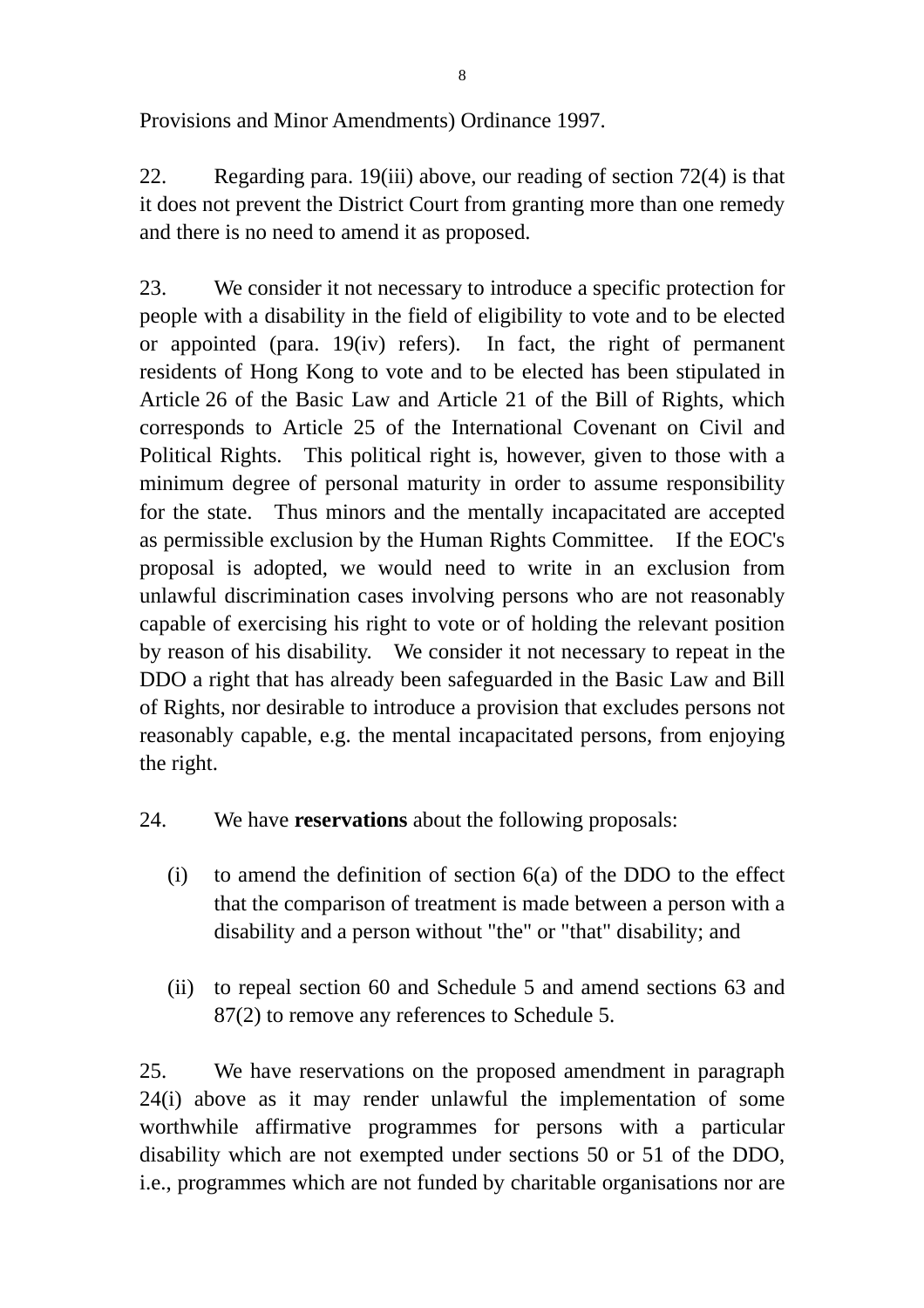Provisions and Minor Amendments) Ordinance 1997.

22. Regarding para. 19(iii) above, our reading of section 72(4) is that it does not prevent the District Court from granting more than one remedy and there is no need to amend it as proposed.

23. We consider it not necessary to introduce a specific protection for people with a disability in the field of eligibility to vote and to be elected or appointed (para. 19(iv) refers). In fact, the right of permanent residents of Hong Kong to vote and to be elected has been stipulated in Article 26 of the Basic Law and Article 21 of the Bill of Rights, which corresponds to Article 25 of the International Covenant on Civil and Political Rights. This political right is, however, given to those with a minimum degree of personal maturity in order to assume responsibility for the state. Thus minors and the mentally incapacitated are accepted as permissible exclusion by the Human Rights Committee. If the EOC's proposal is adopted, we would need to write in an exclusion from unlawful discrimination cases involving persons who are not reasonably capable of exercising his right to vote or of holding the relevant position by reason of his disability. We consider it not necessary to repeat in the DDO a right that has already been safeguarded in the Basic Law and Bill of Rights, nor desirable to introduce a provision that excludes persons not reasonably capable, e.g. the mental incapacitated persons, from enjoying the right.

24. We have **reservations** about the following proposals:

- (i) to amend the definition of section  $6(a)$  of the DDO to the effect that the comparison of treatment is made between a person with a disability and a person without "the" or "that" disability; and
- (ii) to repeal section 60 and Schedule 5 and amend sections 63 and 87(2) to remove any references to Schedule 5.

25. We have reservations on the proposed amendment in paragraph 24(i) above as it may render unlawful the implementation of some worthwhile affirmative programmes for persons with a particular disability which are not exempted under sections 50 or 51 of the DDO, i.e., programmes which are not funded by charitable organisations nor are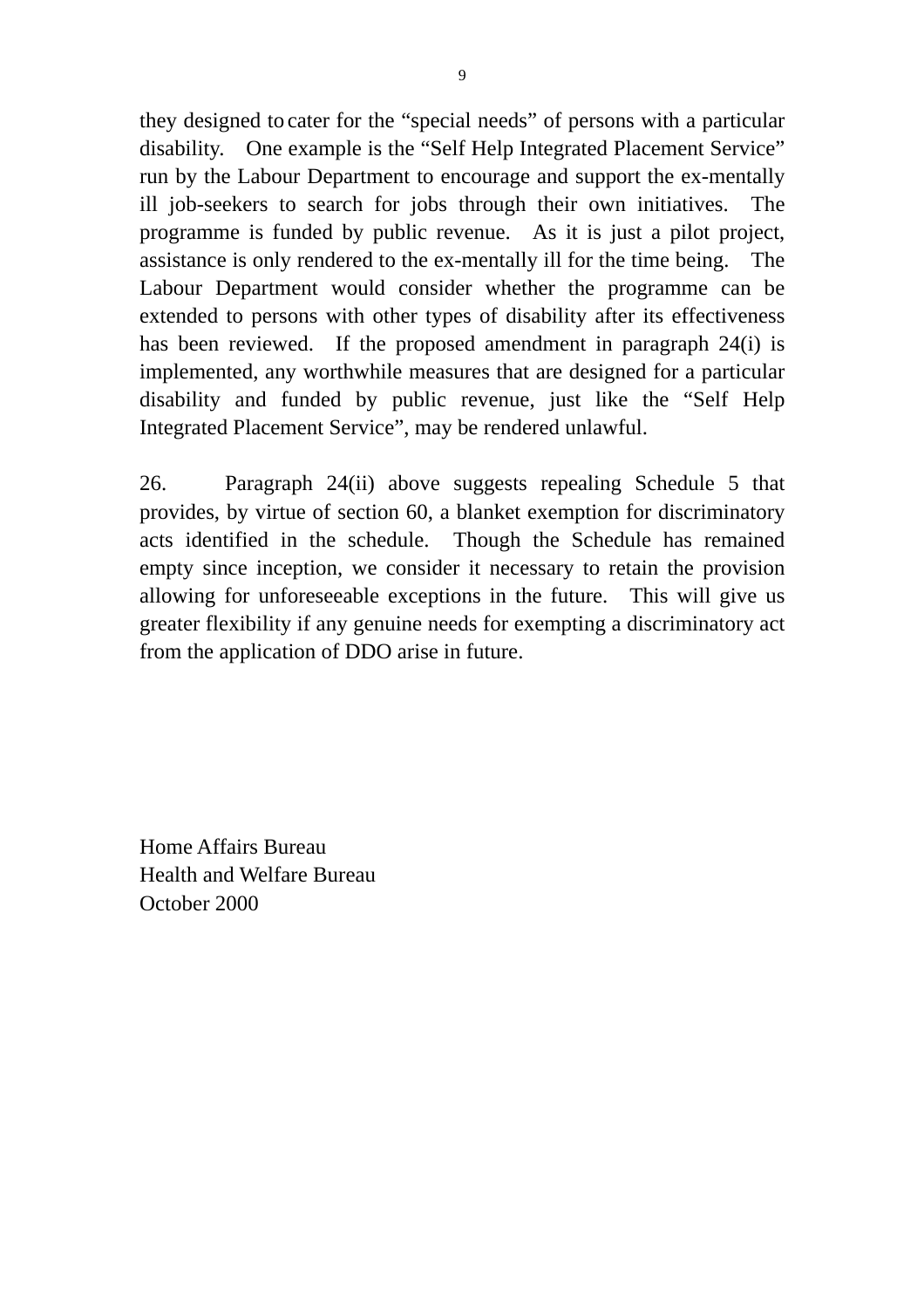they designed to cater for the "special needs" of persons with a particular disability. One example is the "Self Help Integrated Placement Service" run by the Labour Department to encourage and support the ex-mentally ill job-seekers to search for jobs through their own initiatives. The programme is funded by public revenue. As it is just a pilot project, assistance is only rendered to the ex-mentally ill for the time being. The Labour Department would consider whether the programme can be extended to persons with other types of disability after its effectiveness has been reviewed. If the proposed amendment in paragraph 24(i) is implemented, any worthwhile measures that are designed for a particular disability and funded by public revenue, just like the "Self Help Integrated Placement Service", may be rendered unlawful.

26. Paragraph 24(ii) above suggests repealing Schedule 5 that provides, by virtue of section 60, a blanket exemption for discriminatory acts identified in the schedule. Though the Schedule has remained empty since inception, we consider it necessary to retain the provision allowing for unforeseeable exceptions in the future. This will give us greater flexibility if any genuine needs for exempting a discriminatory act from the application of DDO arise in future.

Home Affairs Bureau Health and Welfare Bureau October 2000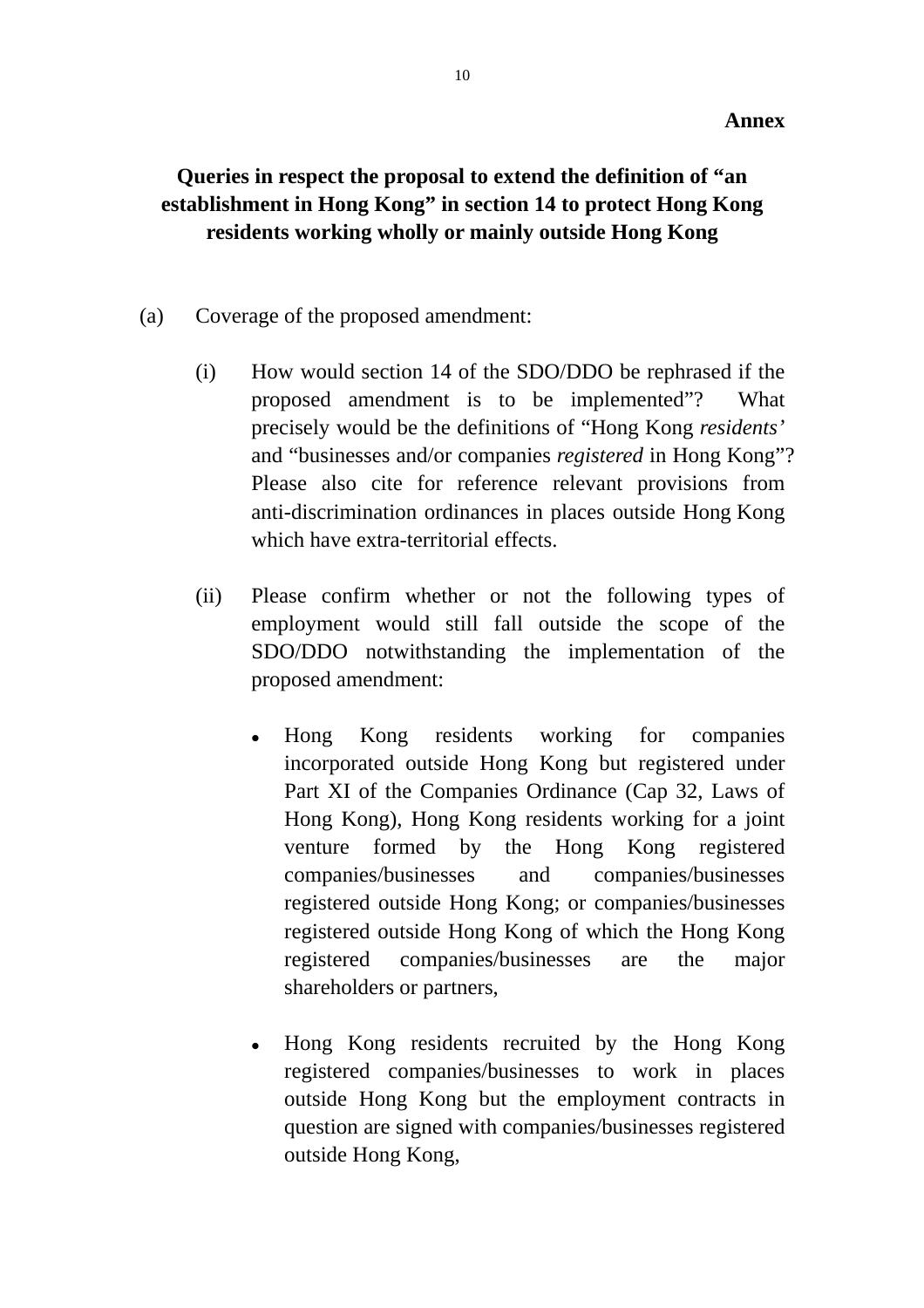# **Queries in respect the proposal to extend the definition of "an establishment in Hong Kong" in section 14 to protect Hong Kong residents working wholly or mainly outside Hong Kong**

- (a) Coverage of the proposed amendment:
	- (i) How would section 14 of the SDO/DDO be rephrased if the proposed amendment is to be implemented"? What precisely would be the definitions of "Hong Kong *residents'* and "businesses and/or companies *registered* in Hong Kong"? Please also cite for reference relevant provisions from anti-discrimination ordinances in places outside Hong Kong which have extra-territorial effects.
	- (ii) Please confirm whether or not the following types of employment would still fall outside the scope of the SDO/DDO notwithstanding the implementation of the proposed amendment:
		- Hong Kong residents working for companies incorporated outside Hong Kong but registered under Part XI of the Companies Ordinance (Cap 32, Laws of Hong Kong), Hong Kong residents working for a joint venture formed by the Hong Kong registered companies/businesses and companies/businesses registered outside Hong Kong; or companies/businesses registered outside Hong Kong of which the Hong Kong registered companies/businesses are the major shareholders or partners,
		- Hong Kong residents recruited by the Hong Kong registered companies/businesses to work in places outside Hong Kong but the employment contracts in question are signed with companies/businesses registered outside Hong Kong,